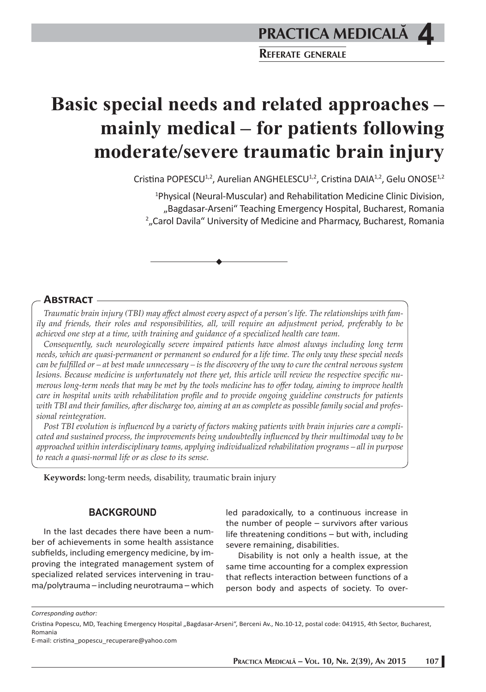**REFERATE GENERALE**

# **Basic special needs and related approaches – mainly medical – for patients following moderate/severe traumatic brain injury**

Cristina POPESCU<sup>1,2</sup>, Aurelian ANGHELESCU<sup>1,2</sup>, Cristina DAIA<sup>1,2</sup>, Gelu ONOSE<sup>1,2</sup>

<sup>1</sup>Physical (Neural-Muscular) and Rehabilitation Medicine Clinic Division, "Bagdasar-Arseni" Teaching Emergency Hospital, Bucharest, Romania 2 "Carol Davila" University of Medicine and Pharmacy, Bucharest, Romania

### **ABSTRACT**

*Traumatic brain injury (TBI) may aff ect almost every aspect of a person's life. The relationships with family and friends, their roles and responsibilities, all, will require an adjustment period, preferably to be achieved one step at a time, with training and guidance of a specialized health care team.*

*Consequently, such neurologically severe impaired patients have almost always including long term needs, which are quasi-permanent or permanent so endured for a life time. The only way these special needs can be fulfi lled or – at best made unnecessary – is the discovery of the way to cure the central nervous system*  lesions. Because medicine is unfortunately not there yet, this article will review the respective specific nu*merous long-term needs that may be met by the tools medicine has to off er today, aiming to improve health care in hospital units with rehabilitation profile and to provide ongoing guideline constructs for patients with TBI and their families, aft er discharge too, aiming at an as complete as possible family social and professional reintegration.* 

Post TBI evolution is influenced by a variety of factors making patients with brain injuries care a compli*cated and sustained process, the improvements being undoubtedly infl uenced by their multimodal way to be approached within interdisciplinary teams, applying individualized rehabilitation programs – all in purpose to reach a quasi-normal life or as close to its sense.* 

**Keywords:** long-term needs, disability, traumatic brain injury

### **BACKGROUND**

In the last decades there have been a number of achievements in some health assistance subfields, including emergency medicine, by improving the integrated management system of specialized related services intervening in trauma/polytrauma – including neurotrauma – which

led paradoxically, to a continuous increase in the number of people  $-$  survivors after various life threatening conditions  $-$  but with, including severe remaining, disabilities.

Disability is not only a health issue, at the same time accounting for a complex expression that reflects interaction between functions of a person body and aspects of society. To over-

*Corresponding author:* 

Cristina Popescu, MD, Teaching Emergency Hospital "Bagdasar-Arseni", Berceni Av., No.10-12, postal code: 041915, 4th Sector, Bucharest, Romania

E-mail: cristina\_popescu\_recuperare@yahoo.com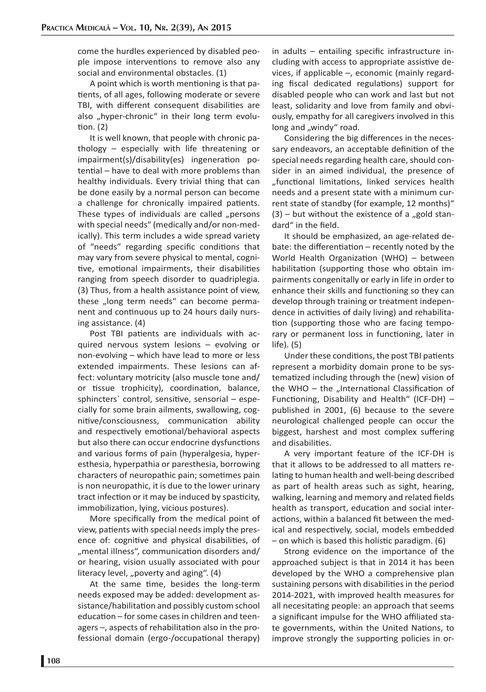come the hurdles experienced by disabled people impose interventions to remove also any social and environmental obstacles. (1)

A point which is worth mentioning is that patients, of all ages, following moderate or severe TBI, with different consequent disabilities are also "hyper-chronic" in their long term evolution.  $(2)$ 

It is well known, that people with chronic pathology – especially with life threatening or  $impairment(s)/disability(es)$  ingeneration potential – have to deal with more problems than healthy individuals. Every trivial thing that can be done easily by a normal person can become a challenge for chronically impaired patients. These types of individuals are called "persons with special needs" (medically and/or non-medically). This term includes a wide spread variety of "needs" regarding specific conditions that may vary from severe physical to mental, cognitive, emotional impairments, their disabilities ranging from speech disorder to quadriplegia. (3) Thus, from a health assistance point of view, these "long term needs" can become permanent and continuous up to 24 hours daily nursing assistance. (4)

Post TBI patients are individuals with acquired nervous system lesions – evolving or non-evolving – which have lead to more or less extended impairments. These lesions can affect: voluntary motricity (also muscle tone and/ or tissue trophicity), coordination, balance, sphincters' control, sensitive, sensorial  $-$  especially for some brain ailments, swallowing, cognitive/consciousness, communication ability and respectively emotional/behavioral aspects but also there can occur endocrine dysfunctions and various forms of pain (hyperalgesia, hyperesthesia, hyperpathia or paresthesia, borrowing characters of neuropathic pain; sometimes pain is non neuropathic, it is due to the lower urinary tract infection or it may be induced by spasticity, immobilization, lying, vicious postures).

More specifically from the medical point of view, patients with special needs imply the presence of: cognitive and physical disabilities, of "mental illness", communication disorders and/ or hearing, vision usually associated with pour literacy level, "poverty and aging".  $(4)$ 

At the same time, besides the long-term needs exposed may be added: development assistance/habilitation and possibly custom school education – for some cases in children and teenagers  $-$ , aspects of rehabilitation also in the professional domain (ergo-/occupational therapy)

in adults  $-$  entailing specific infrastructure including with access to appropriate assistive devices, if applicable –, economic (mainly regarding fiscal dedicated regulations) support for disabled people who can work and last but not least, solidarity and love from family and obviously, empathy for all caregivers involved in this long and "windy" road.

Considering the big differences in the necessary endeavors, an acceptable definition of the special needs regarding health care, should consider in an aimed individual, the presence of "functional limitations, linked services health needs and a present state with a minimum current state of standby (for example, 12 months)"  $(3)$  – but without the existence of a "gold standard" in the field.

It should be emphasized, an age-related debate: the differentiation  $-$  recently noted by the World Health Organization (WHO)  $-$  between habilitation (supporting those who obtain impairments congenitally or early in life in order to enhance their skills and functioning so they can develop through training or treatment independence in activities of daily living) and rehabilitation (supporting those who are facing temporary or permanent loss in functioning, later in life). (5)

Under these conditions, the post TBI patients represent a morbidity domain prone to be systematized including through the (new) vision of the WHO  $-$  the "International Classification of Functioning, Disability and Health" (ICF-DH)  $$ published in 2001, (6) because to the severe neurological challenged people can occur the biggest, harshest and most complex suffering and disabilities.

A very important feature of the ICF-DH is that it allows to be addressed to all matters relating to human health and well-being described as part of health areas such as sight, hearing, walking, learning and memory and related fields health as transport, education and social interactions, within a balanced fit between the medical and respectively, social, models embedded  $-$  on which is based this holistic paradigm. (6)

Strong evidence on the importance of the approached subject is that in 2014 it has been developed by the WHO a comprehensive plan sustaining persons with disabilities in the period 2014-2021, with improved health measures for all necesitating people: an approach that seems a significant impulse for the WHO affiliated state governments, within the United Nations, to improve strongly the supporting policies in or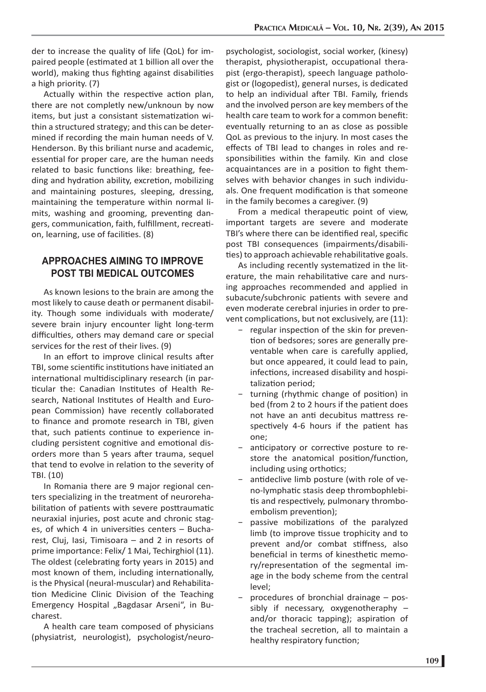der to increase the quality of life (QoL) for impaired people (estimated at 1 billion all over the world), making thus fighting against disabilities a high priority. (7)

Actually within the respective action plan, there are not completly new/unknoun by now items, but just a consistant sistematization within a structured strategy; and this can be determined if recording the main human needs of V. Henderson. By this briliant nurse and academic, essential for proper care, are the human needs related to basic functions like: breathing, feeding and hydration ability, excretion, mobilizing and maintaining postures, sleeping, dressing, maintaining the temperature within normal limits, washing and grooming, preventing dangers, communication, faith, fulfillment, recreation, learning, use of facilities. (8)

## **APPROACHES AIMING TO IMPROVE POST TBI MEDICAL OUTCOMES**

As known lesions to the brain are among the most likely to cause death or permanent disability. Though some individuals with moderate/ severe brain injury encounter light long-term difficulties, others may demand care or special services for the rest of their lives. (9)

In an effort to improve clinical results after TBI, some scientific institutions have initiated an international multidisciplinary research (in particular the: Canadian Institutes of Health Research, National Institutes of Health and European Commission) have recently collaborated to finance and promote research in TBI, given that, such patients continue to experience including persistent cognitive and emotional disorders more than 5 years after trauma, sequel that tend to evolve in relation to the severity of TBI. (10)

In Romania there are 9 major regional centers specializing in the treatment of neurorehabilitation of patients with severe posttraumatic neuraxial injuries, post acute and chronic stages, of which 4 in universities centers  $-$  Bucharest, Cluj, Iasi, Timisoara – and 2 in resorts of prime importance: Felix/ 1 Mai, Techirghiol (11). The oldest (celebrating forty years in 2015) and most known of them, including internationally, is the Physical (neural-muscular) and Rehabilitation Medicine Clinic Division of the Teaching Emergency Hospital "Bagdasar Arseni", in Bucharest.

A health care team composed of physicians (physiatrist, neurologist), psychologist/neuro-

psychologist, sociologist, social worker, (kinesy) therapist, physiotherapist, occupational therapist (ergo-therapist), speech language pathologist or (logopedist), general nurses, is dedicated to help an individual after TBI. Family, friends and the involved person are key members of the health care team to work for a common benefit: eventually returning to an as close as possible QoL as previous to the injury. In most cases the effects of TBI lead to changes in roles and responsibilities within the family. Kin and close acquaintances are in a position to fight themselves with behavior changes in such individuals. One frequent modification is that someone in the family becomes a caregiver. (9)

From a medical therapeutic point of view. important targets are severe and moderate TBI's where there can be identified real, specific post TBI consequences (impairments/disabilities) to approach achievable rehabilitative goals.

As including recently systematized in the literature, the main rehabilitative care and nursing approaches recommended and applied in subacute/subchronic patients with severe and even moderate cerebral injuries in order to prevent complications, but not exclusively, are (11):

- regular inspection of the skin for prevention of bedsores; sores are generally preventable when care is carefully applied, but once appeared, it could lead to pain, infections, increased disability and hospitalization period;
- turning (rhythmic change of position) in bed (from 2 to 2 hours if the patient does not have an anti decubitus mattress respectively 4-6 hours if the patient has one;
- anticipatory or corrective posture to restore the anatomical position/function, including using orthotics;
- antideclive limb posture (with role of veno-lymphatic stasis deep thrombophlebitis and respectively, pulmonary thromboembolism prevention);
- passive mobilizations of the paralyzed limb (to improve tissue trophicity and to prevent and/or combat stiffness, also beneficial in terms of kinesthetic memory/representation of the segmental image in the body scheme from the central level;
- − procedures of bronchial drainage possibly if necessary, oxygenotheraphy – and/or thoracic tapping); aspiration of the tracheal secretion, all to maintain a healthy respiratory function;